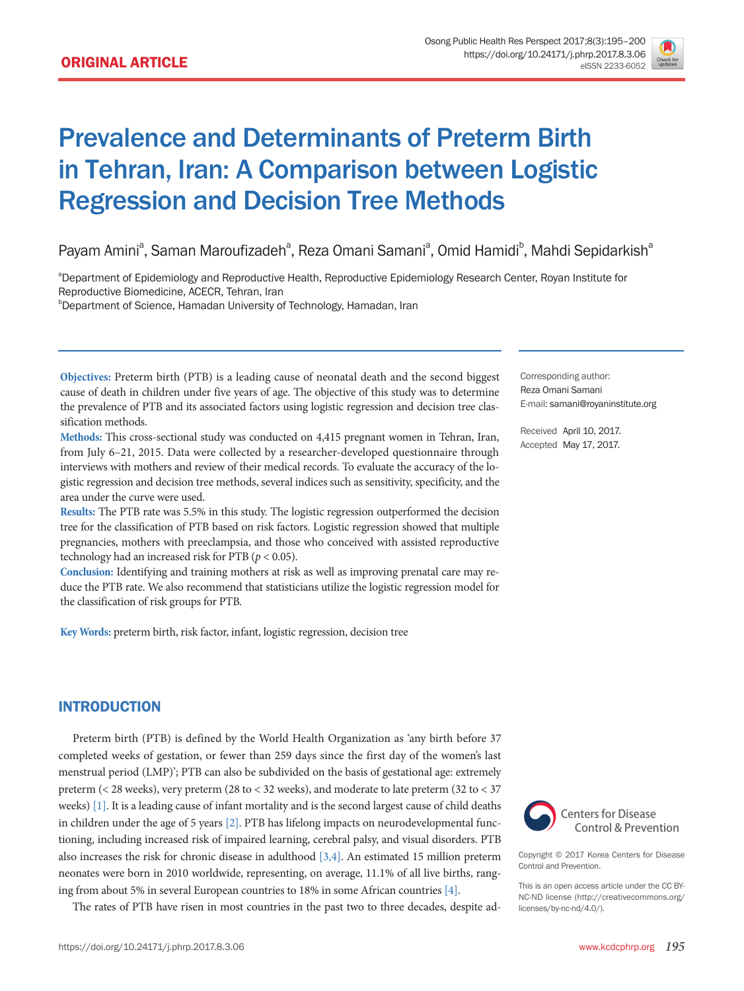

# Prevalence and Determinants of Preterm Birth in Tehran, Iran: A Comparison between Logistic Regression and Decision Tree Methods

Payam Amini<sup>a</sup>, Saman Maroufizadeh<sup>a</sup>, Reza Omani Samani<sup>a</sup>, Omid Hamidi<sup>b</sup>, Mahdi Sepidarkish<sup>a</sup>

<sup>a</sup>Department of Epidemiology and Reproductive Health, Reproductive Epidemiology Research Center, Royan Institute for Reproductive Biomedicine, ACECR, Tehran, Iran

b Department of Science, Hamadan University of Technology, Hamadan, Iran

**Objectives:** Preterm birth (PTB) is a leading cause of neonatal death and the second biggest cause of death in children under five years of age. The objective of this study was to determine the prevalence of PTB and its associated factors using logistic regression and decision tree classification methods.

**Methods:** This cross-sectional study was conducted on 4,415 pregnant women in Tehran, Iran, from July 6–21, 2015. Data were collected by a researcher-developed questionnaire through interviews with mothers and review of their medical records. To evaluate the accuracy of the logistic regression and decision tree methods, several indices such as sensitivity, specificity, and the area under the curve were used.

**Results:** The PTB rate was 5.5% in this study. The logistic regression outperformed the decision tree for the classification of PTB based on risk factors. Logistic regression showed that multiple pregnancies, mothers with preeclampsia, and those who conceived with assisted reproductive technology had an increased risk for PTB (*p* < 0.05).

**Conclusion:** Identifying and training mothers at risk as well as improving prenatal care may reduce the PTB rate. We also recommend that statisticians utilize the logistic regression model for the classification of risk groups for PTB.

**Key Words:** preterm birth, risk factor, infant, logistic regression, decision tree

Corresponding author: Reza Omani Samani E-mail: [samani@royaninstitute.org](mailto:samani@royaninstitute.org)

Received April 10, 2017. Accepted May 17, 2017.

## INTRODUCTION

Preterm birth (PTB) is defined by the World Health Organization as 'any birth before 37 completed weeks of gestation, or fewer than 259 days since the first day of the women's last menstrual period (LMP)'; PTB can also be subdivided on the basis of gestational age: extremely preterm (< 28 weeks), very preterm (28 to < 32 weeks), and moderate to late preterm (32 to < 37 weeks) [1]. It is a leading cause of infant mortality and is the second largest cause of child deaths in children under the age of 5 years [2]. PTB has lifelong impacts on neurodevelopmental functioning, including increased risk of impaired learning, cerebral palsy, and visual disorders. PTB also increases the risk for chronic disease in adulthood [3,4]. An estimated 15 million preterm neonates were born in 2010 worldwide, representing, on average, 11.1% of all live births, ranging from about 5% in several European countries to 18% in some African countries [4].

The rates of PTB have risen in most countries in the past two to three decades, despite ad-



Copyright © 2017 Korea Centers for Disease Control and Prevention.

This is an open access article under the CC BY-NC-ND license (http://creativecommons.org/ licenses/by-nc-nd/4.0/).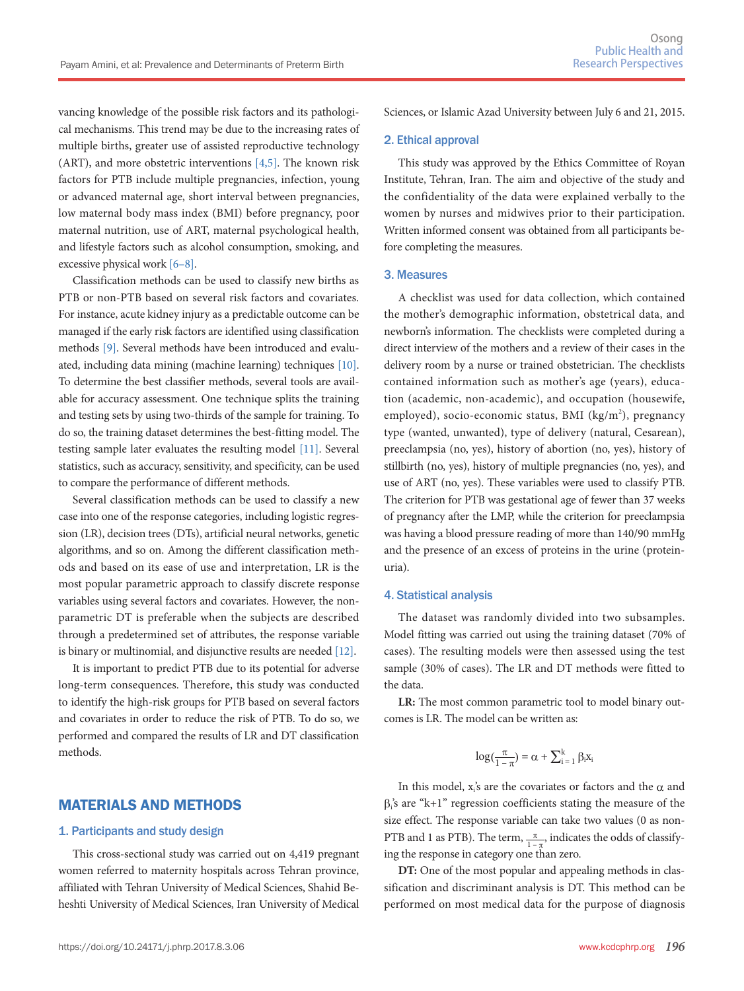vancing knowledge of the possible risk factors and its pathological mechanisms. This trend may be due to the increasing rates of multiple births, greater use of assisted reproductive technology (ART), and more obstetric interventions [4,5]. The known risk factors for PTB include multiple pregnancies, infection, young or advanced maternal age, short interval between pregnancies, low maternal body mass index (BMI) before pregnancy, poor maternal nutrition, use of ART, maternal psychological health, and lifestyle factors such as alcohol consumption, smoking, and excessive physical work [6–8].

Classification methods can be used to classify new births as PTB or non-PTB based on several risk factors and covariates. For instance, acute kidney injury as a predictable outcome can be managed if the early risk factors are identified using classification methods [9]. Several methods have been introduced and evaluated, including data mining (machine learning) techniques [10]. To determine the best classifier methods, several tools are available for accuracy assessment. One technique splits the training and testing sets by using two-thirds of the sample for training. To do so, the training dataset determines the best-fitting model. The testing sample later evaluates the resulting model [11]. Several statistics, such as accuracy, sensitivity, and specificity, can be used to compare the performance of different methods.

Several classification methods can be used to classify a new case into one of the response categories, including logistic regression (LR), decision trees (DTs), artificial neural networks, genetic algorithms, and so on. Among the different classification methods and based on its ease of use and interpretation, LR is the most popular parametric approach to classify discrete response variables using several factors and covariates. However, the nonparametric DT is preferable when the subjects are described through a predetermined set of attributes, the response variable is binary or multinomial, and disjunctive results are needed [12].

It is important to predict PTB due to its potential for adverse long-term consequences. Therefore, this study was conducted to identify the high-risk groups for PTB based on several factors and covariates in order to reduce the risk of PTB. To do so, we performed and compared the results of LR and DT classification methods.

## MATERIALS AND METHODS

#### 1. Participants and study design

This cross-sectional study was carried out on 4,419 pregnant women referred to maternity hospitals across Tehran province, affiliated with Tehran University of Medical Sciences, Shahid Beheshti University of Medical Sciences, Iran University of Medical

Sciences, or Islamic Azad University between July 6 and 21, 2015.

#### 2. Ethical approval

This study was approved by the Ethics Committee of Royan Institute, Tehran, Iran. The aim and objective of the study and the confidentiality of the data were explained verbally to the women by nurses and midwives prior to their participation. Written informed consent was obtained from all participants before completing the measures.

#### 3. Measures

A checklist was used for data collection, which contained the mother's demographic information, obstetrical data, and newborn's information. The checklists were completed during a direct interview of the mothers and a review of their cases in the delivery room by a nurse or trained obstetrician. The checklists contained information such as mother's age (years), education (academic, non-academic), and occupation (housewife, employed), socio-economic status, BMI (kg/m<sup>2</sup>), pregnancy type (wanted, unwanted), type of delivery (natural, Cesarean), preeclampsia (no, yes), history of abortion (no, yes), history of stillbirth (no, yes), history of multiple pregnancies (no, yes), and use of ART (no, yes). These variables were used to classify PTB. The criterion for PTB was gestational age of fewer than 37 weeks of pregnancy after the LMP, while the criterion for preeclampsia was having a blood pressure reading of more than 140/90 mmHg and the presence of an excess of proteins in the urine (proteinuria).

#### 4. Statistical analysis

The dataset was randomly divided into two subsamples. Model fitting was carried out using the training dataset (70% of cases). The resulting models were then assessed using the test sample (30% of cases). The LR and DT methods were fitted to the data.

**LR:** The most common parametric tool to model binary outcomes is LR. The model can be written as:

$$
log(\frac{\pi}{1-\pi}) = \alpha + \sum_{i\,=\,1}^k \beta_i x_i
$$

In this model,  $x_i$ 's are the covariates or factors and the  $\alpha$  and  $\beta_i$ 's are "k+1" regression coefficients stating the measure of the size effect. The response variable can take two values (0 as non-PTB and 1 as PTB). The term,  $\frac{\pi}{1-\pi}$ , indicates the odds of classifying the response in category one than zero.

**DT:** One of the most popular and appealing methods in classification and discriminant analysis is DT. This method can be performed on most medical data for the purpose of diagnosis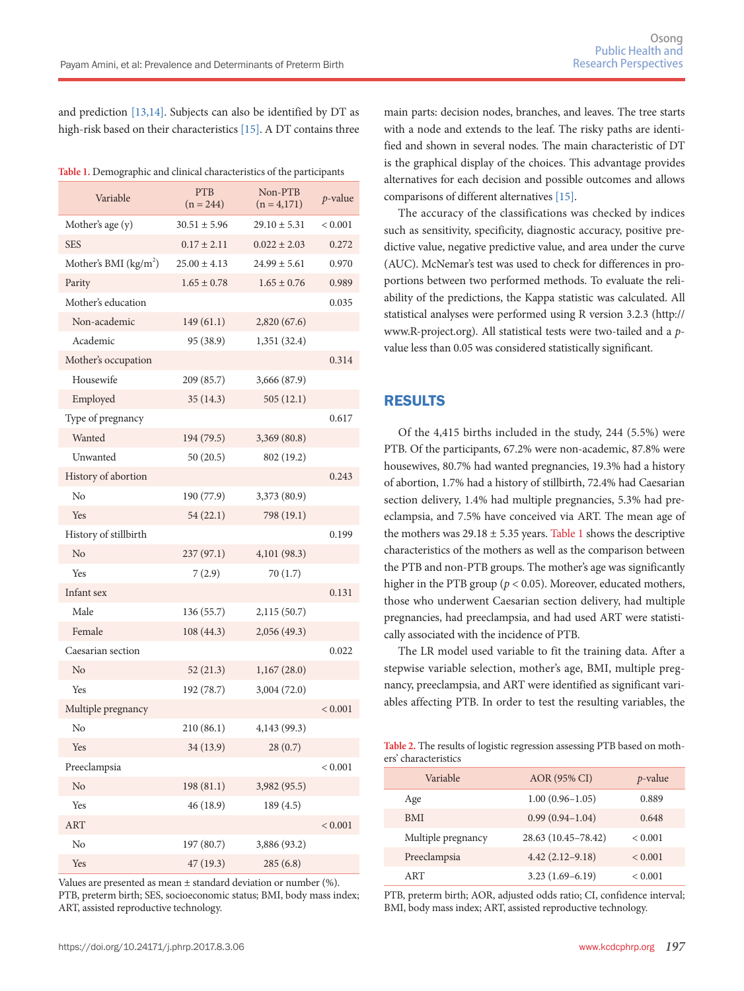and prediction [13,14]. Subjects can also be identified by DT as high-risk based on their characteristics [15]. A DT contains three

| Table 1. Demographic and clinical characteristics of the participants |  |  |  |
|-----------------------------------------------------------------------|--|--|--|
|-----------------------------------------------------------------------|--|--|--|

| Variable               | <b>PTB</b><br>$(n = 244)$ | Non-PTB<br>$(n = 4,171)$ | $p$ -value  |
|------------------------|---------------------------|--------------------------|-------------|
| Mother's age (y)       | $30.51 \pm 5.96$          | $29.10 \pm 5.31$         | < 0.001     |
| <b>SES</b>             | $0.17 \pm 2.11$           | $0.022 \pm 2.03$         | 0.272       |
| Mother's BMI $(kg/m2)$ | $25.00 \pm 4.13$          | $24.99 \pm 5.61$         | 0.970       |
| Parity                 | $1.65 \pm 0.78$           | $1.65 \pm 0.76$          | 0.989       |
| Mother's education     |                           |                          | 0.035       |
| Non-academic           | 149(61.1)                 | 2,820 (67.6)             |             |
| Academic               | 95 (38.9)                 | 1,351 (32.4)             |             |
| Mother's occupation    |                           |                          | 0.314       |
| Housewife              | 209 (85.7)                | 3,666 (87.9)             |             |
| Employed               | 35(14.3)                  | 505(12.1)                |             |
| Type of pregnancy      |                           |                          | 0.617       |
| Wanted                 | 194 (79.5)                | 3,369 (80.8)             |             |
| Unwanted               | 50(20.5)                  | 802 (19.2)               |             |
| History of abortion    |                           |                          | 0.243       |
| $\rm N_{0}$            | 190 (77.9)                | 3,373 (80.9)             |             |
| Yes                    | 54(22.1)                  | 798 (19.1)               |             |
| History of stillbirth  |                           |                          | 0.199       |
| No                     | 237(97.1)                 | 4,101 (98.3)             |             |
| Yes                    | 7(2.9)                    | 70(1.7)                  |             |
| Infant sex             |                           |                          | 0.131       |
| Male                   | 136 (55.7)                | 2,115(50.7)              |             |
| Female                 | 108 (44.3)                | 2,056(49.3)              |             |
| Caesarian section      |                           |                          | 0.022       |
| No                     | 52(21.3)                  | 1,167(28.0)              |             |
| Yes                    | 192 (78.7)                | 3,004 (72.0)             |             |
| Multiple pregnancy     |                           |                          | ${}< 0.001$ |
| No                     | 210(86.1)                 | 4,143 (99.3)             |             |
| Yes                    | 34 (13.9)                 | 28(0.7)                  |             |
| Preeclampsia           |                           |                          | < 0.001     |
| No                     | 198 (81.1)                | 3,982 (95.5)             |             |
| Yes                    | 46 (18.9)                 | 189 (4.5)                |             |
| <b>ART</b>             |                           |                          | ${}< 0.001$ |
| No                     | 197 (80.7)                | 3,886 (93.2)             |             |
| Yes                    | 47(19.3)                  | 285(6.8)                 |             |

Values are presented as mean  $\pm$  standard deviation or number (%). PTB, preterm birth; SES, socioeconomic status; BMI, body mass index; ART, assisted reproductive technology.

main parts: decision nodes, branches, and leaves. The tree starts with a node and extends to the leaf. The risky paths are identified and shown in several nodes. The main characteristic of DT is the graphical display of the choices. This advantage provides alternatives for each decision and possible outcomes and allows comparisons of different alternatives [15].

The accuracy of the classifications was checked by indices such as sensitivity, specificity, diagnostic accuracy, positive predictive value, negative predictive value, and area under the curve (AUC). McNemar's test was used to check for differences in proportions between two performed methods. To evaluate the reliability of the predictions, the Kappa statistic was calculated. All statistical analyses were performed using R version 3.2.3 (http:// www.R-project.org). All statistical tests were two-tailed and a *p*value less than 0.05 was considered statistically significant.

## RESULTS

Of the 4,415 births included in the study, 244 (5.5%) were PTB. Of the participants, 67.2% were non-academic, 87.8% were housewives, 80.7% had wanted pregnancies, 19.3% had a history of abortion, 1.7% had a history of stillbirth, 72.4% had Caesarian section delivery, 1.4% had multiple pregnancies, 5.3% had preeclampsia, and 7.5% have conceived via ART. The mean age of the mothers was  $29.18 \pm 5.35$  years. Table 1 shows the descriptive characteristics of the mothers as well as the comparison between the PTB and non-PTB groups. The mother's age was significantly higher in the PTB group (*p* < 0.05). Moreover, educated mothers, those who underwent Caesarian section delivery, had multiple pregnancies, had preeclampsia, and had used ART were statistically associated with the incidence of PTB.

The LR model used variable to fit the training data. After a stepwise variable selection, mother's age, BMI, multiple pregnancy, preeclampsia, and ART were identified as significant variables affecting PTB. In order to test the resulting variables, the

**Table 2.** The results of logistic regression assessing PTB based on mothers' characteristics

| Variable           | AOR (95% CI)        | $p$ -value   |
|--------------------|---------------------|--------------|
| Age                | $1.00(0.96 - 1.05)$ | 0.889        |
| <b>BMI</b>         | $0.99(0.94 - 1.04)$ | 0.648        |
| Multiple pregnancy | 28.63 (10.45-78.42) | ${}_{0.001}$ |
| Preeclampsia       | $4.42(2.12 - 9.18)$ | ${}_{0.001}$ |
| ART                | $3.23(1.69-6.19)$   | < 0.001      |

PTB, preterm birth; AOR, adjusted odds ratio; CI, confidence interval; BMI, body mass index; ART, assisted reproductive technology.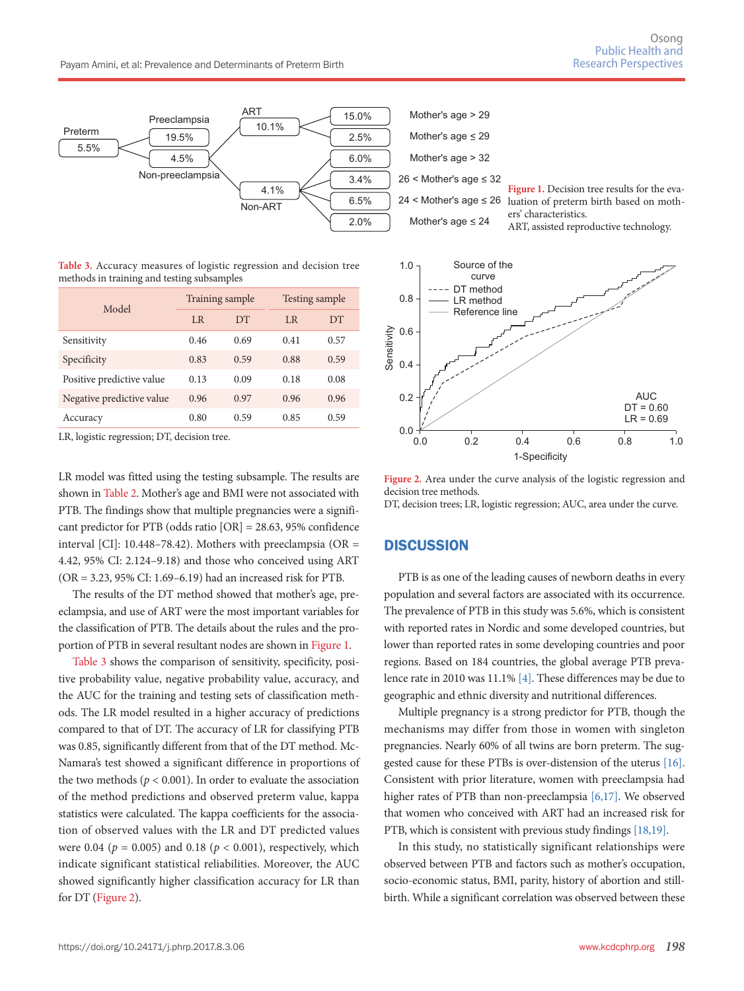

**Table 3.** Accuracy measures of logistic regression and decision tree methods in training and testing subsamples

| Model                     | Training sample |           | Testing sample |           |
|---------------------------|-----------------|-----------|----------------|-----------|
|                           | L <sub>R</sub>  | <b>DT</b> | L <sub>R</sub> | <b>DT</b> |
| Sensitivity               | 0.46            | 0.69      | 0.41           | 0.57      |
| Specificity               | 0.83            | 0.59      | 0.88           | 0.59      |
| Positive predictive value | 0.13            | 0.09      | 0.18           | 0.08      |
| Negative predictive value | 0.96            | 0.97      | 0.96           | 0.96      |
| Accuracy                  | 0.80            | 0.59      | 0.85           | 0.59      |

LR, logistic regression; DT, decision tree.

LR model was fitted using the testing subsample. The results are shown in Table 2. Mother's age and BMI were not associated with PTB. The findings show that multiple pregnancies were a significant predictor for PTB (odds ratio [OR] = 28.63, 95% confidence interval [CI]: 10.448–78.42). Mothers with preeclampsia (OR  $=$ 4.42, 95% CI: 2.124–9.18) and those who conceived using ART (OR = 3.23, 95% CI: 1.69–6.19) had an increased risk for PTB.

The results of the DT method showed that mother's age, preeclampsia, and use of ART were the most important variables for the classification of PTB. The details about the rules and the proportion of PTB in several resultant nodes are shown in Figure 1.

Table 3 shows the comparison of sensitivity, specificity, positive probability value, negative probability value, accuracy, and the AUC for the training and testing sets of classification methods. The LR model resulted in a higher accuracy of predictions compared to that of DT. The accuracy of LR for classifying PTB was 0.85, significantly different from that of the DT method. Mc-Namara's test showed a significant difference in proportions of the two methods ( $p < 0.001$ ). In order to evaluate the association of the method predictions and observed preterm value, kappa statistics were calculated. The kappa coefficients for the association of observed values with the LR and DT predicted values were 0.04 ( $p = 0.005$ ) and 0.18 ( $p < 0.001$ ), respectively, which indicate significant statistical reliabilities. Moreover, the AUC showed significantly higher classification accuracy for LR than for DT (Figure 2).



**Figure 2.** Area under the curve analysis of the logistic regression and decision tree methods. DT, decision trees; LR, logistic regression; AUC, area under the curve.

#### **DISCUSSION**

PTB is as one of the leading causes of newborn deaths in every population and several factors are associated with its occurrence. The prevalence of PTB in this study was 5.6%, which is consistent with reported rates in Nordic and some developed countries, but lower than reported rates in some developing countries and poor regions. Based on 184 countries, the global average PTB prevalence rate in 2010 was 11.1% [4]. These differences may be due to geographic and ethnic diversity and nutritional differences.

Multiple pregnancy is a strong predictor for PTB, though the mechanisms may differ from those in women with singleton pregnancies. Nearly 60% of all twins are born preterm. The suggested cause for these PTBs is over-distension of the uterus [16]. Consistent with prior literature, women with preeclampsia had higher rates of PTB than non-preeclampsia [6,17]. We observed that women who conceived with ART had an increased risk for PTB, which is consistent with previous study findings [18,19].

In this study, no statistically significant relationships were observed between PTB and factors such as mother's occupation, socio-economic status, BMI, parity, history of abortion and stillbirth. While a significant correlation was observed between these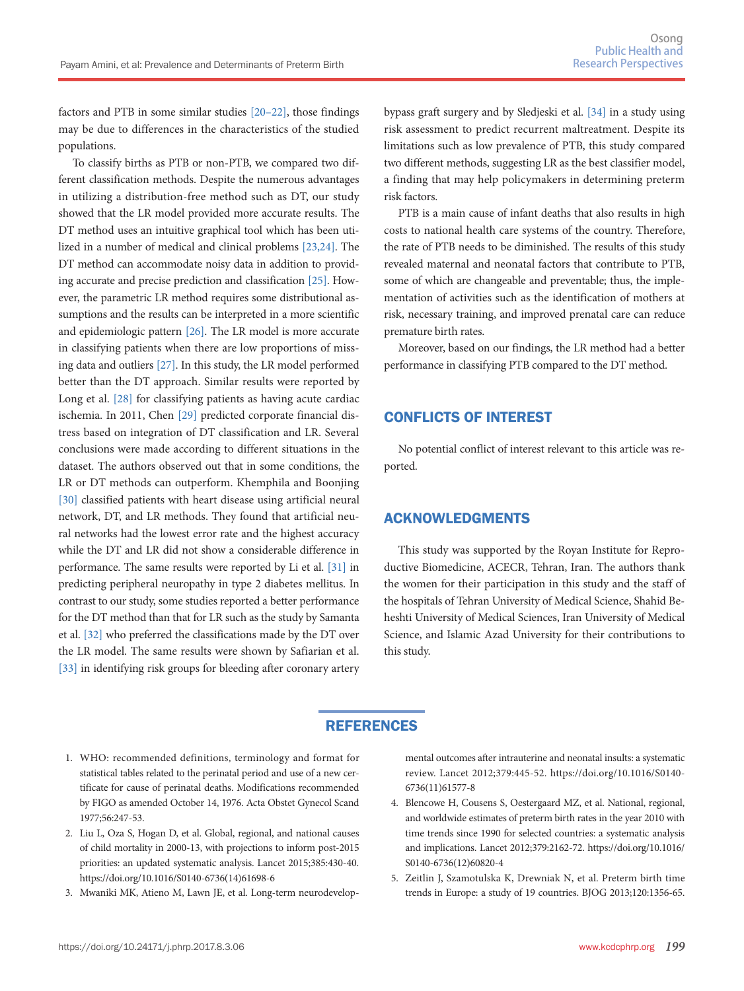factors and PTB in some similar studies [20–22], those findings may be due to differences in the characteristics of the studied populations.

To classify births as PTB or non-PTB, we compared two different classification methods. Despite the numerous advantages in utilizing a distribution-free method such as DT, our study showed that the LR model provided more accurate results. The DT method uses an intuitive graphical tool which has been utilized in a number of medical and clinical problems [23,24]. The DT method can accommodate noisy data in addition to providing accurate and precise prediction and classification [25]. However, the parametric LR method requires some distributional assumptions and the results can be interpreted in a more scientific and epidemiologic pattern [26]. The LR model is more accurate in classifying patients when there are low proportions of missing data and outliers [27]. In this study, the LR model performed better than the DT approach. Similar results were reported by Long et al. [28] for classifying patients as having acute cardiac ischemia. In 2011, Chen [29] predicted corporate financial distress based on integration of DT classification and LR. Several conclusions were made according to different situations in the dataset. The authors observed out that in some conditions, the LR or DT methods can outperform. Khemphila and Boonjing [30] classified patients with heart disease using artificial neural network, DT, and LR methods. They found that artificial neural networks had the lowest error rate and the highest accuracy while the DT and LR did not show a considerable difference in performance. The same results were reported by Li et al. [31] in predicting peripheral neuropathy in type 2 diabetes mellitus. In contrast to our study, some studies reported a better performance for the DT method than that for LR such as the study by Samanta et al. [32] who preferred the classifications made by the DT over the LR model. The same results were shown by Safiarian et al. [33] in identifying risk groups for bleeding after coronary artery bypass graft surgery and by Sledjeski et al. [34] in a study using risk assessment to predict recurrent maltreatment. Despite its limitations such as low prevalence of PTB, this study compared two different methods, suggesting LR as the best classifier model, a finding that may help policymakers in determining preterm risk factors.

PTB is a main cause of infant deaths that also results in high costs to national health care systems of the country. Therefore, the rate of PTB needs to be diminished. The results of this study revealed maternal and neonatal factors that contribute to PTB, some of which are changeable and preventable; thus, the implementation of activities such as the identification of mothers at risk, necessary training, and improved prenatal care can reduce premature birth rates.

Moreover, based on our findings, the LR method had a better performance in classifying PTB compared to the DT method.

## CONFLICTS OF INTEREST

No potential conflict of interest relevant to this article was reported.

## ACKNOWLEDGMENTS

This study was supported by the Royan Institute for Reproductive Biomedicine, ACECR, Tehran, Iran. The authors thank the women for their participation in this study and the staff of the hospitals of Tehran University of Medical Science, Shahid Beheshti University of Medical Sciences, Iran University of Medical Science, and Islamic Azad University for their contributions to this study.

## **REFERENCES**

- 1. WHO: recommended definitions, terminology and format for statistical tables related to the perinatal period and use of a new certificate for cause of perinatal deaths. Modifications recommended by FIGO as amended October 14, 1976. Acta Obstet Gynecol Scand 1977;56:247-53.
- 2. Liu L, Oza S, Hogan D, et al. Global, regional, and national causes of child mortality in 2000-13, with projections to inform post-2015 priorities: an updated systematic analysis. Lancet 2015;385:430-40. https://doi.org/10.1016/S0140-6736(14)61698-6
- 3. Mwaniki MK, Atieno M, Lawn JE, et al. Long-term neurodevelop-

mental outcomes after intrauterine and neonatal insults: a systematic review. Lancet 2012;379:445-52. https://doi.org/10.1016/S0140- 6736(11)61577-8

- 4. Blencowe H, Cousens S, Oestergaard MZ, et al. National, regional, and worldwide estimates of preterm birth rates in the year 2010 with time trends since 1990 for selected countries: a systematic analysis and implications. Lancet 2012;379:2162-72. https://doi.org/10.1016/ S0140-6736(12)60820-4
- 5. Zeitlin J, Szamotulska K, Drewniak N, et al. Preterm birth time trends in Europe: a study of 19 countries. BJOG 2013;120:1356-65.